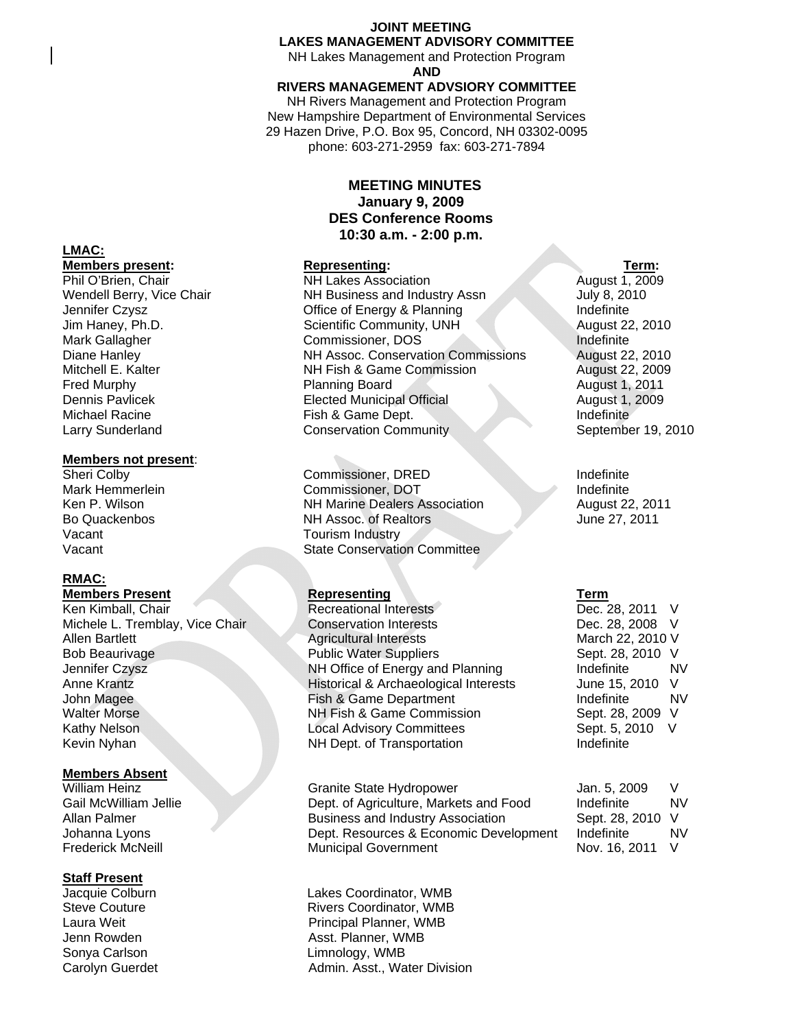#### **JOINT MEETING LAKES MANAGEMENT ADVISORY COMMITTEE**

NH Lakes Management and Protection Program **AND** 

#### **RIVERS MANAGEMENT ADVSIORY COMMITTEE**

NH Rivers Management and Protection Program New Hampshire Department of Environmental Services 29 Hazen Drive, P.O. Box 95, Concord, NH 03302-0095 phone: 603-271-2959 fax: 603-271-7894

### **MEETING MINUTES January 9, 2009 DES Conference Rooms 10:30 a.m. - 2:00 p.m.**

**Members present:** Representing: Term: Term: Term: Term: Term: Term: Term: Term: Term: Term: Term: Term: Term: Term: Term: Term: Term: Term: Term: Term: Term: Term: Term: Term: Term: Term: Term: Term: Term: Term: Term: Ter **NH Lakes Association** Wendell Berry, Vice Chair **NH Business and Industry Assn** July 8, 2010 Jennifer Czysz **Disk Czysz Community Community Community** Office of Energy & Planning Indefinite Jim Haney, Ph.D. Scientific Community, UNH August 22, 2010 Mark Gallagher Commissioner, DOS Indefinite Diane Hanley **NH Assoc. Conservation Commissions NH** Assoc. Conservation Commissions Mitchell E. Kalter **NH Fish & Game Commission** August 22, 2009 Fred Murphy **Planning Board** Planning Board August 1, 2011<br>Dennis Pavlicek **August 1, 2009** Elected Municipal Official August 1, 2009 **Elected Municipal Official August 1, 2009** Michael Racine **Fish & Game Dept.** Indefinite Indefinite Larry Sunderland **Conservation Community** September 19, 2010

Sheri Colby **Commissioner, DRED** Indefinite<br>Mark Hemmerlein **Commissioner, DOT** Indefinite Commissioner, DOT Indefinite Ken P. Wilson **NH Marine Dealers Association** August 22, 2011 Bo Quackenbos **NH Assoc.** of Realtors June 27, 2011 Vacant **State Conservation Committee** 

Michele L. Tremblay, Vice Chair Conservation Interests Dec. 28, 2008 V Allen Bartlett **Agricultural Interests** March 22, 2010 V Bob Beaurivage **Public Water Suppliers** Sept. 28, 2010 V Jennifer Czysz NH Office of Energy and Planning Indefinite NV Anne Krantz **Historical & Archaeological Interests** June 15, 2010 V John Magee Fish & Game Department Indefinite NV Walter Morse **NH Fish & Game Commission** Sept. 28, 2009 V Kathy Nelson Local Advisory Committees Sept. 5, 2010 V Kevin Nyhan NH Dept. of Transportation Indefinite

William Heinz **Communist Communist Communist Communist Communist Communist Communist Communist Communist Communist Communist Communist Communist Communist Communist Communist Communist Communist Communist Communist Communi** Gail McWilliam Jellie **Dept. of Agriculture, Markets and Food** Indefinite NV Allan Palmer **Business and Industry Association** Sept. 28, 2010 V Johanna Lyons Dept. Resources & Economic Development Indefinite NV Frederick McNeill **Municipal Government** Nov. 16, 2011 V

Jacquie Colburn Lakes Coordinator, WMB Rivers Coordinator, WMB Laura Weit **Principal Planner**, WMB Jenn Rowden **Asst. Planner**, WMB Sonya Carlson **Limnology**, WMB Carolyn Guerdet **Admin.** Asst., Water Division

# **LMAC:**

#### **Members not present**:

Vacant Vacant **Tourism Industry** 

## **RMAC:**

**Members Present Community Representing Community Representing Term** Ken Kimball, Chair Recreational Interests Dec. 28, 2011 V

#### **Members Absent**

# **Staff Present**<br>Jacquie Colburn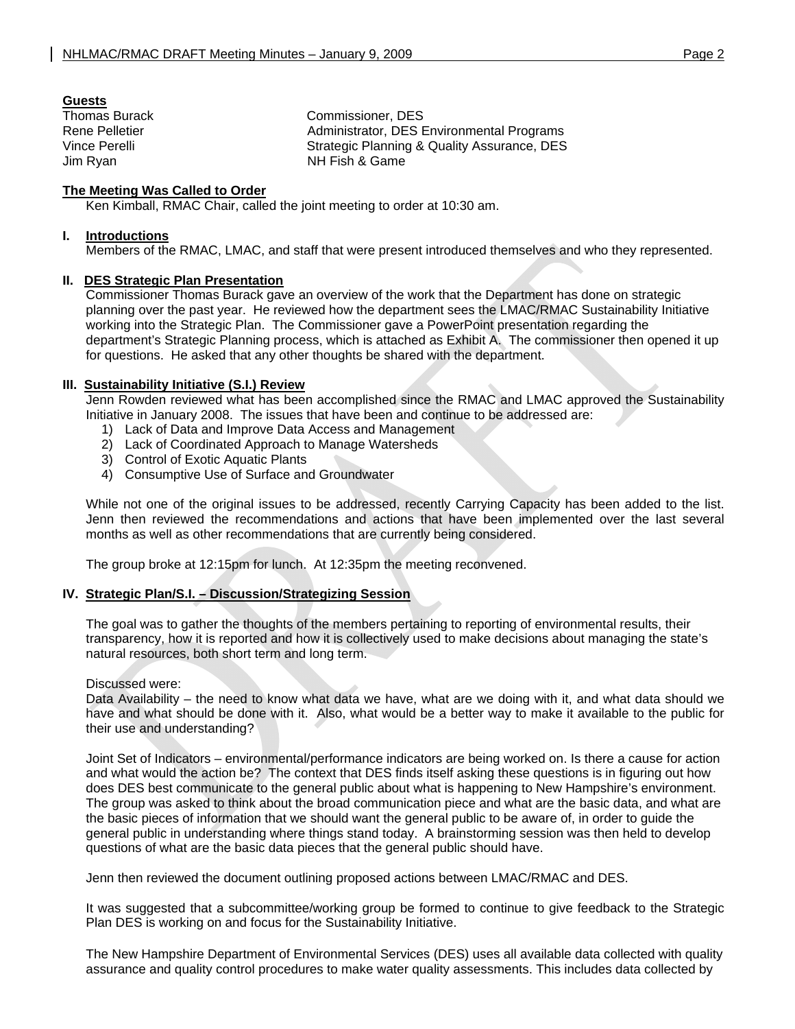#### **Guests**

**Thomas Burack Commissioner, DES** Rene Pelletier **Administrator**, DES Environmental Programs Vince Perelli Strategic Planning & Quality Assurance, DES Jim Ryan NH Fish & Game

#### **The Meeting Was Called to Order**

Ken Kimball, RMAC Chair, called the joint meeting to order at 10:30 am.

#### **I. Introductions**

Members of the RMAC, LMAC, and staff that were present introduced themselves and who they represented.

#### **II. DES Strategic Plan Presentation**

 Commissioner Thomas Burack gave an overview of the work that the Department has done on strategic planning over the past year. He reviewed how the department sees the LMAC/RMAC Sustainability Initiative working into the Strategic Plan. The Commissioner gave a PowerPoint presentation regarding the department's Strategic Planning process, which is attached as Exhibit A. The commissioner then opened it up for questions. He asked that any other thoughts be shared with the department.

#### **III. Sustainability Initiative (S.I.) Review**

Jenn Rowden reviewed what has been accomplished since the RMAC and LMAC approved the Sustainability Initiative in January 2008. The issues that have been and continue to be addressed are:

- 1) Lack of Data and Improve Data Access and Management
- 2) Lack of Coordinated Approach to Manage Watersheds
- 3) Control of Exotic Aquatic Plants
- 4) Consumptive Use of Surface and Groundwater

While not one of the original issues to be addressed, recently Carrying Capacity has been added to the list. Jenn then reviewed the recommendations and actions that have been implemented over the last several months as well as other recommendations that are currently being considered.

The group broke at 12:15pm for lunch. At 12:35pm the meeting reconvened.

#### **IV. Strategic Plan/S.I. – Discussion/Strategizing Session**

 The goal was to gather the thoughts of the members pertaining to reporting of environmental results, their transparency, how it is reported and how it is collectively used to make decisions about managing the state's natural resources, both short term and long term.

#### Discussed were:

 Data Availability – the need to know what data we have, what are we doing with it, and what data should we have and what should be done with it. Also, what would be a better way to make it available to the public for their use and understanding?

 Joint Set of Indicators – environmental/performance indicators are being worked on. Is there a cause for action and what would the action be? The context that DES finds itself asking these questions is in figuring out how does DES best communicate to the general public about what is happening to New Hampshire's environment. The group was asked to think about the broad communication piece and what are the basic data, and what are the basic pieces of information that we should want the general public to be aware of, in order to guide the general public in understanding where things stand today. A brainstorming session was then held to develop questions of what are the basic data pieces that the general public should have.

Jenn then reviewed the document outlining proposed actions between LMAC/RMAC and DES.

 It was suggested that a subcommittee/working group be formed to continue to give feedback to the Strategic Plan DES is working on and focus for the Sustainability Initiative.

The New Hampshire Department of Environmental Services (DES) uses all available data collected with quality assurance and quality control procedures to make water quality assessments. This includes data collected by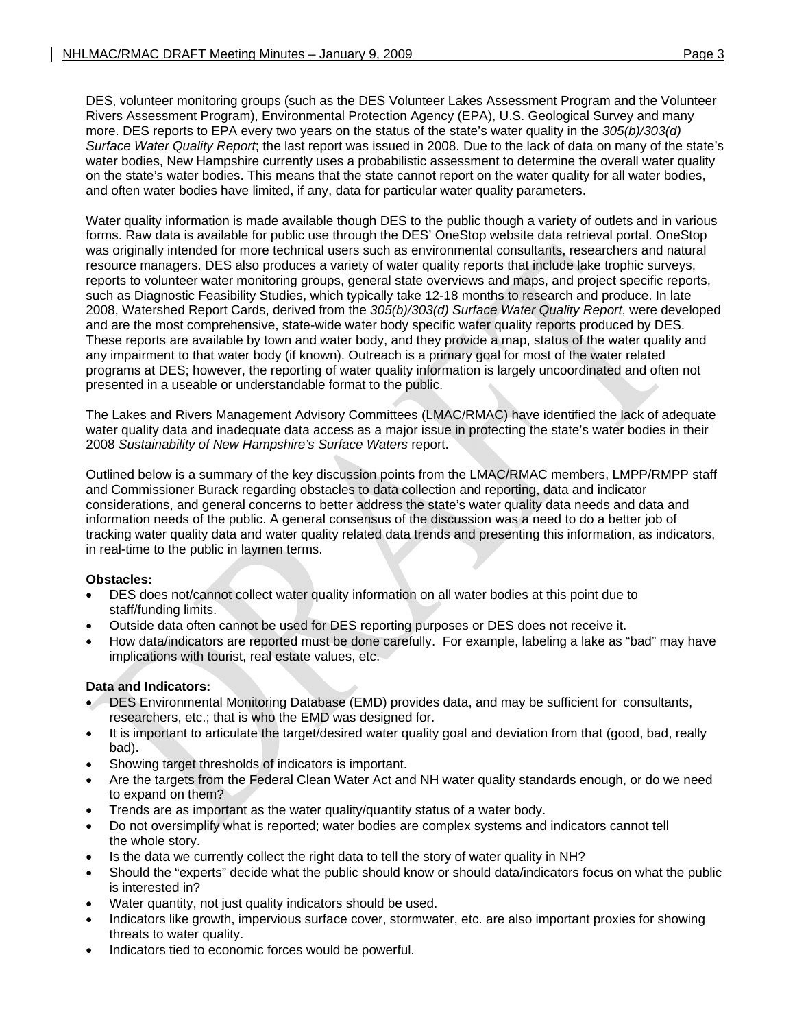DES, volunteer monitoring groups (such as the DES Volunteer Lakes Assessment Program and the Volunteer Rivers Assessment Program), Environmental Protection Agency (EPA), U.S. Geological Survey and many more. DES reports to EPA every two years on the status of the state's water quality in the *305(b)/303(d) Surface Water Quality Report*; the last report was issued in 2008. Due to the lack of data on many of the state's water bodies, New Hampshire currently uses a probabilistic assessment to determine the overall water quality on the state's water bodies. This means that the state cannot report on the water quality for all water bodies, and often water bodies have limited, if any, data for particular water quality parameters.

Water quality information is made available though DES to the public though a variety of outlets and in various forms. Raw data is available for public use through the DES' OneStop website data retrieval portal. OneStop was originally intended for more technical users such as environmental consultants, researchers and natural resource managers. DES also produces a variety of water quality reports that include lake trophic surveys, reports to volunteer water monitoring groups, general state overviews and maps, and project specific reports, such as Diagnostic Feasibility Studies, which typically take 12-18 months to research and produce. In late 2008, Watershed Report Cards, derived from the *305(b)/303(d) Surface Water Quality Report*, were developed and are the most comprehensive, state-wide water body specific water quality reports produced by DES. These reports are available by town and water body, and they provide a map, status of the water quality and any impairment to that water body (if known). Outreach is a primary goal for most of the water related programs at DES; however, the reporting of water quality information is largely uncoordinated and often not presented in a useable or understandable format to the public.

The Lakes and Rivers Management Advisory Committees (LMAC/RMAC) have identified the lack of adequate water quality data and inadequate data access as a major issue in protecting the state's water bodies in their 2008 *Sustainability of New Hampshire's Surface Waters* report.

Outlined below is a summary of the key discussion points from the LMAC/RMAC members, LMPP/RMPP staff and Commissioner Burack regarding obstacles to data collection and reporting, data and indicator considerations, and general concerns to better address the state's water quality data needs and data and information needs of the public. A general consensus of the discussion was a need to do a better job of tracking water quality data and water quality related data trends and presenting this information, as indicators, in real-time to the public in laymen terms.

### **Obstacles:**

- DES does not/cannot collect water quality information on all water bodies at this point due to staff/funding limits.
- Outside data often cannot be used for DES reporting purposes or DES does not receive it.
- How data/indicators are reported must be done carefully. For example, labeling a lake as "bad" may have implications with tourist, real estate values, etc.

### **Data and Indicators:**

- DES Environmental Monitoring Database (EMD) provides data, and may be sufficient for consultants, researchers, etc.; that is who the EMD was designed for.
- It is important to articulate the target/desired water quality goal and deviation from that (good, bad, really bad).
- Showing target thresholds of indicators is important.
- Are the targets from the Federal Clean Water Act and NH water quality standards enough, or do we need to expand on them?
- Trends are as important as the water quality/quantity status of a water body.
- Do not oversimplify what is reported; water bodies are complex systems and indicators cannot tell the whole story.
- Is the data we currently collect the right data to tell the story of water quality in NH?
- Should the "experts" decide what the public should know or should data/indicators focus on what the public is interested in?
- Water quantity, not just quality indicators should be used.
- Indicators like growth, impervious surface cover, stormwater, etc. are also important proxies for showing threats to water quality.
- Indicators tied to economic forces would be powerful.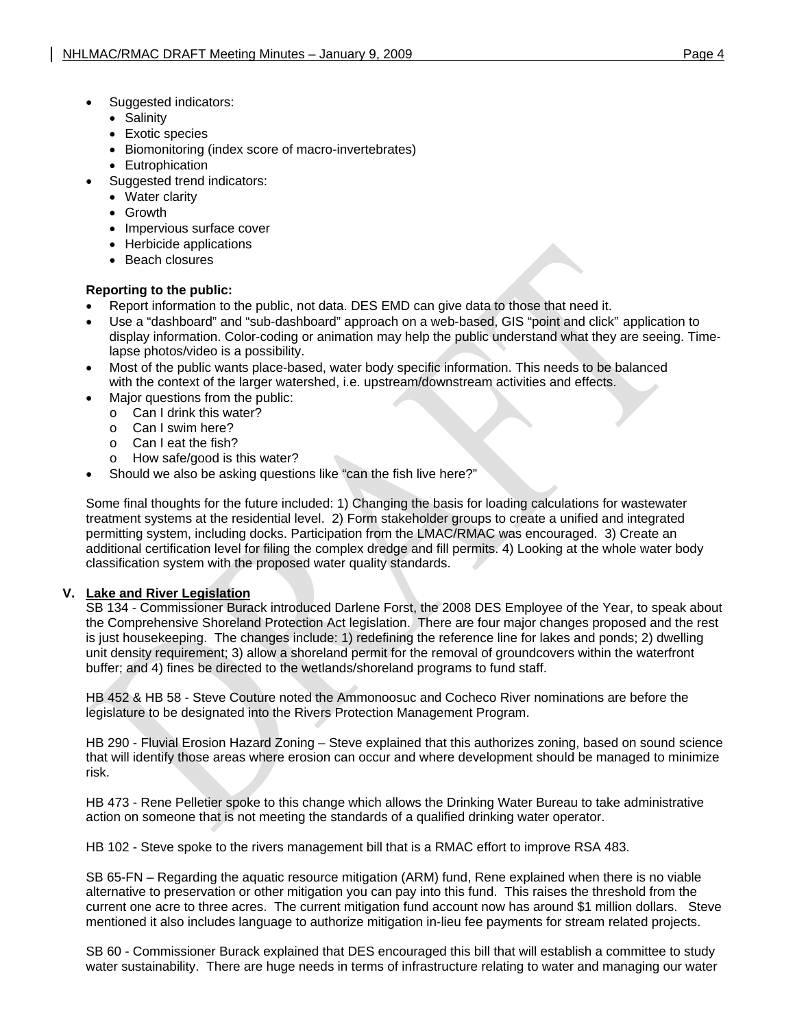- Suggested indicators:
	- Salinity
	- Exotic species
	- Biomonitoring (index score of macro-invertebrates)
	- Eutrophication
- Suggested trend indicators:
	- Water clarity
	- Growth
	- Impervious surface cover
	- Herbicide applications
	- Beach closures

### **Reporting to the public:**

- Report information to the public, not data. DES EMD can give data to those that need it.
- Use a "dashboard" and "sub-dashboard" approach on a web-based, GIS "point and click" application to display information. Color-coding or animation may help the public understand what they are seeing. Timelapse photos/video is a possibility.
- Most of the public wants place-based, water body specific information. This needs to be balanced with the context of the larger watershed, i.e. upstream/downstream activities and effects.
- Major questions from the public:
	- o Can I drink this water?
	- o Can I swim here?
	- o Can I eat the fish?
	- How safe/good is this water?
- Should we also be asking questions like "can the fish live here?"

Some final thoughts for the future included: 1) Changing the basis for loading calculations for wastewater treatment systems at the residential level. 2) Form stakeholder groups to create a unified and integrated permitting system, including docks. Participation from the LMAC/RMAC was encouraged. 3) Create an additional certification level for filing the complex dredge and fill permits. 4) Looking at the whole water body classification system with the proposed water quality standards.

### **V. Lake and River Legislation**

SB 134 - Commissioner Burack introduced Darlene Forst, the 2008 DES Employee of the Year, to speak about the Comprehensive Shoreland Protection Act legislation. There are four major changes proposed and the rest is just housekeeping. The changes include: 1) redefining the reference line for lakes and ponds; 2) dwelling unit density requirement; 3) allow a shoreland permit for the removal of groundcovers within the waterfront buffer; and 4) fines be directed to the wetlands/shoreland programs to fund staff.

 HB 452 & HB 58 - Steve Couture noted the Ammonoosuc and Cocheco River nominations are before the legislature to be designated into the Rivers Protection Management Program.

 HB 290 - Fluvial Erosion Hazard Zoning – Steve explained that this authorizes zoning, based on sound science that will identify those areas where erosion can occur and where development should be managed to minimize risk.

 HB 473 - Rene Pelletier spoke to this change which allows the Drinking Water Bureau to take administrative action on someone that is not meeting the standards of a qualified drinking water operator.

HB 102 - Steve spoke to the rivers management bill that is a RMAC effort to improve RSA 483.

 SB 65-FN – Regarding the aquatic resource mitigation (ARM) fund, Rene explained when there is no viable alternative to preservation or other mitigation you can pay into this fund. This raises the threshold from the current one acre to three acres. The current mitigation fund account now has around \$1 million dollars. Steve mentioned it also includes language to authorize mitigation in-lieu fee payments for stream related projects.

 SB 60 - Commissioner Burack explained that DES encouraged this bill that will establish a committee to study water sustainability. There are huge needs in terms of infrastructure relating to water and managing our water